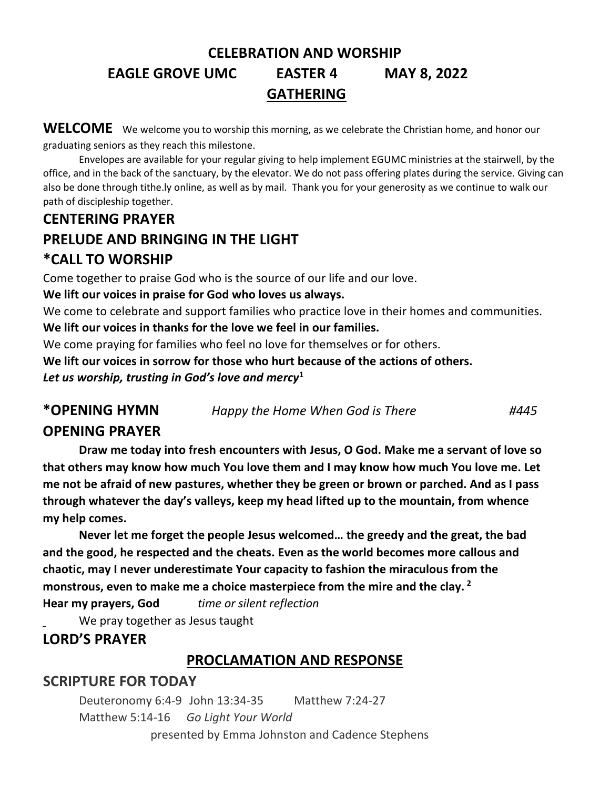# **CELEBRATION AND WORSHIP EAGLE GROVE UMC EASTER 4 MAY 8, 2022 GATHERING**

WELCOME We welcome you to worship this morning, as we celebrate the Christian home, and honor our graduating seniors as they reach this milestone.

Envelopes are available for your regular giving to help implement EGUMC ministries at the stairwell, by the office, and in the back of the sanctuary, by the elevator. We do not pass offering plates during the service. Giving can also be done through tithe.ly online, as well as by mail. Thank you for your generosity as we continue to walk our path of discipleship together.

# **CENTERING PRAYER PRELUDE AND BRINGING IN THE LIGHT \*CALL TO WORSHIP**

Come together to praise God who is the source of our life and our love.

**We lift our voices in praise for God who loves us always.**

We come to celebrate and support families who practice love in their homes and communities.

**We lift our voices in thanks for the love we feel in our families.** 

We come praying for families who feel no love for themselves or for others.

**We lift our voices in sorrow for those who hurt because of the actions of others.**

*Let us worship, trusting in God's love and mercy***<sup>1</sup>**

**\*OPENING HYMN** *Happy the Home When God is There #445*

## **OPENING PRAYER**

**Draw me today into fresh encounters with Jesus, O God. Make me a servant of love so that others may know how much You love them and I may know how much You love me. Let me not be afraid of new pastures, whether they be green or brown or parched. And as I pass through whatever the day's valleys, keep my head lifted up to the mountain, from whence my help comes.**

**Never let me forget the people Jesus welcomed… the greedy and the great, the bad and the good, he respected and the cheats. Even as the world becomes more callous and chaotic, may I never underestimate Your capacity to fashion the miraculous from the monstrous, even to make me a choice masterpiece from the mire and the clay. <sup>2</sup> Hear my prayers, God** *time or silent reflection*

We pray together as Jesus taught

## **LORD'S PRAYER**

## **PROCLAMATION AND RESPONSE**

## **SCRIPTURE FOR TODAY**

Deuteronomy 6:4-9 John 13:34-35 Matthew 7:24-27 Matthew 5:14-16 *Go Light Your World* presented by Emma Johnston and Cadence Stephens